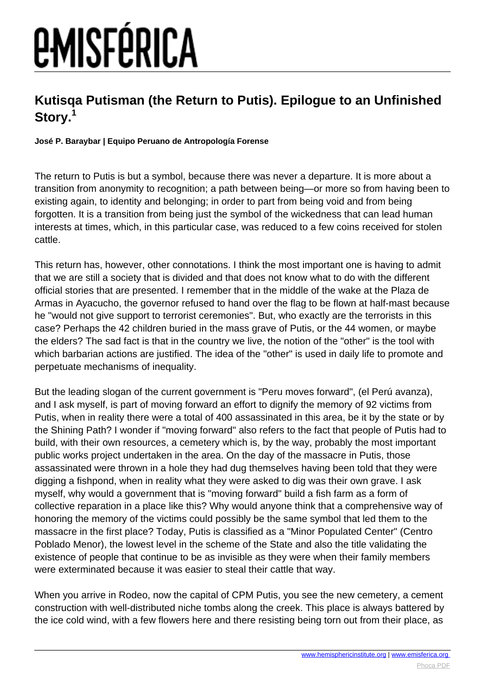# *<u>EMISFÉRICA</u>*

### **Kutisqa Putisman (the Return to Putis). Epilogue to an Unfinished Story.<sup>1</sup>**

#### **José P. Baraybar | Equipo Peruano de Antropología Forense**

The return to Putis is but a symbol, because there was never a departure. It is more about a transition from anonymity to recognition; a path between being—or more so from having been to existing again, to identity and belonging; in order to part from being void and from being forgotten. It is a transition from being just the symbol of the wickedness that can lead human interests at times, which, in this particular case, was reduced to a few coins received for stolen cattle.

This return has, however, other connotations. I think the most important one is having to admit that we are still a society that is divided and that does not know what to do with the different official stories that are presented. I remember that in the middle of the wake at the Plaza de Armas in Ayacucho, the governor refused to hand over the flag to be flown at half-mast because he "would not give support to terrorist ceremonies". But, who exactly are the terrorists in this case? Perhaps the 42 children buried in the mass grave of Putis, or the 44 women, or maybe the elders? The sad fact is that in the country we live, the notion of the "other" is the tool with which barbarian actions are justified. The idea of the "other" is used in daily life to promote and perpetuate mechanisms of inequality.

But the leading slogan of the current government is "Peru moves forward", (el Perú avanza), and I ask myself, is part of moving forward an effort to dignify the memory of 92 victims from Putis, when in reality there were a total of 400 assassinated in this area, be it by the state or by the Shining Path? I wonder if "moving forward" also refers to the fact that people of Putis had to build, with their own resources, a cemetery which is, by the way, probably the most important public works project undertaken in the area. On the day of the massacre in Putis, those assassinated were thrown in a hole they had dug themselves having been told that they were digging a fishpond, when in reality what they were asked to dig was their own grave. I ask myself, why would a government that is "moving forward" build a fish farm as a form of collective reparation in a place like this? Why would anyone think that a comprehensive way of honoring the memory of the victims could possibly be the same symbol that led them to the massacre in the first place? Today, Putis is classified as a "Minor Populated Center" (Centro Poblado Menor), the lowest level in the scheme of the State and also the title validating the existence of people that continue to be as invisible as they were when their family members were exterminated because it was easier to steal their cattle that way.

When you arrive in Rodeo, now the capital of CPM Putis, you see the new cemetery, a cement construction with well-distributed niche tombs along the creek. This place is always battered by the ice cold wind, with a few flowers here and there resisting being torn out from their place, as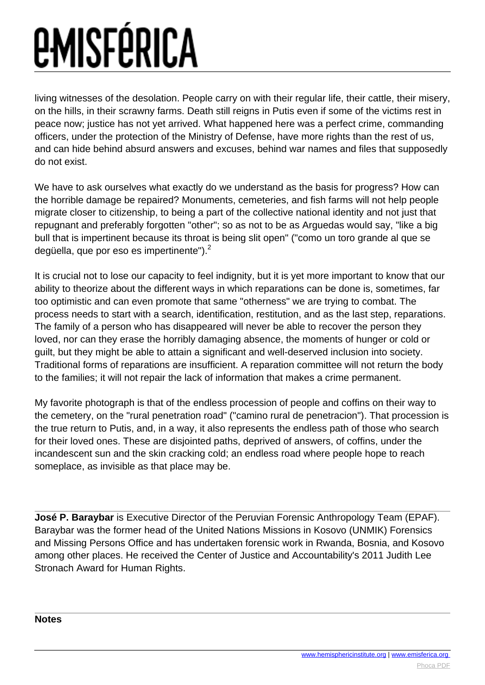## *<u>EMISFÉRICA</u>*

living witnesses of the desolation. People carry on with their regular life, their cattle, their misery, on the hills, in their scrawny farms. Death still reigns in Putis even if some of the victims rest in peace now; justice has not yet arrived. What happened here was a perfect crime, commanding officers, under the protection of the Ministry of Defense, have more rights than the rest of us, and can hide behind absurd answers and excuses, behind war names and files that supposedly do not exist.

We have to ask ourselves what exactly do we understand as the basis for progress? How can the horrible damage be repaired? Monuments, cemeteries, and fish farms will not help people migrate closer to citizenship, to being a part of the collective national identity and not just that repugnant and preferably forgotten "other"; so as not to be as Arguedas would say, "like a big bull that is impertinent because its throat is being slit open" ("como un toro grande al que se degüella, que por eso es impertinente" $^2$ .

It is crucial not to lose our capacity to feel indignity, but it is yet more important to know that our ability to theorize about the different ways in which reparations can be done is, sometimes, far too optimistic and can even promote that same "otherness" we are trying to combat. The process needs to start with a search, identification, restitution, and as the last step, reparations. The family of a person who has disappeared will never be able to recover the person they loved, nor can they erase the horribly damaging absence, the moments of hunger or cold or guilt, but they might be able to attain a significant and well-deserved inclusion into society. Traditional forms of reparations are insufficient. A reparation committee will not return the body to the families; it will not repair the lack of information that makes a crime permanent.

My favorite photograph is that of the endless procession of people and coffins on their way to the cemetery, on the "rural penetration road" ("camino rural de penetracion"). That procession is the true return to Putis, and, in a way, it also represents the endless path of those who search for their loved ones. These are disjointed paths, deprived of answers, of coffins, under the incandescent sun and the skin cracking cold; an endless road where people hope to reach someplace, as invisible as that place may be.

**José P. Baraybar** is Executive Director of the Peruvian Forensic Anthropology Team (EPAF). Baraybar was the former head of the United Nations Missions in Kosovo (UNMIK) Forensics and Missing Persons Office and has undertaken forensic work in Rwanda, Bosnia, and Kosovo among other places. He received the Center of Justice and Accountability's 2011 Judith Lee Stronach Award for Human Rights.

**Notes**